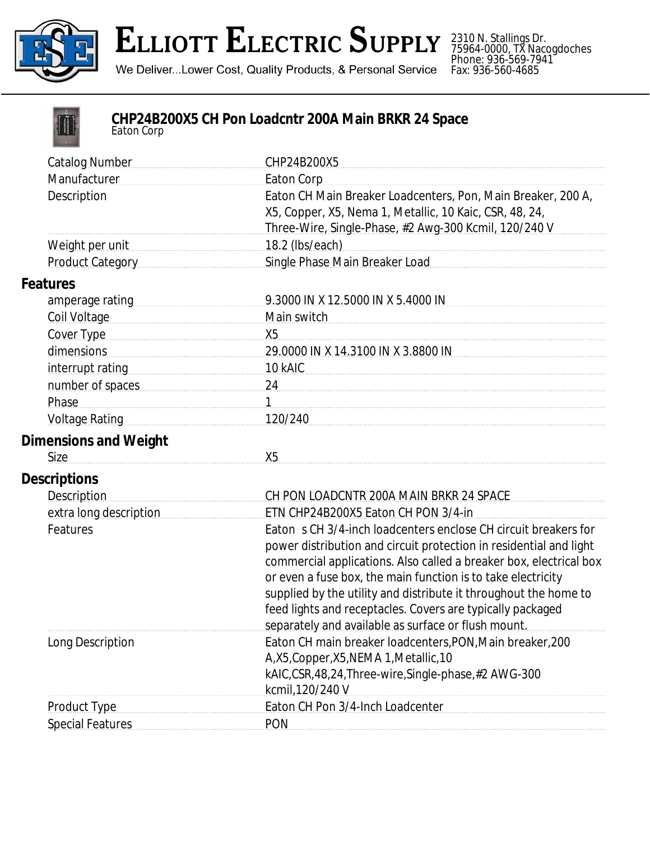

## **ELLIOTT ELECTRIC SUPPLY**

2310 N. Stallings Dr. 75964-0000, TX Nacogdoches Phone: 936-569-7941 Fax: 936-560-4685

We Deliver...Lower Cost, Quality Products, & Personal Service



## **CHP24B200X5 CH Pon Loadcntr 200A Main BRKR 24 Space** *Eaton Corp*

| <b>Catalog Number</b>                                                                                                                                                                                                          | CHP24B200X5                                                        |
|--------------------------------------------------------------------------------------------------------------------------------------------------------------------------------------------------------------------------------|--------------------------------------------------------------------|
| Manufacturer                                                                                                                                                                                                                   | <b>Eaton Corp</b>                                                  |
| Description                                                                                                                                                                                                                    | Eaton CH Main Breaker Loadcenters, Pon, Main Breaker, 200 A,       |
|                                                                                                                                                                                                                                | X5, Copper, X5, Nema 1, Metallic, 10 Kaic, CSR, 48, 24,            |
|                                                                                                                                                                                                                                | Three-Wire, Single-Phase, #2 Awg-300 Kcmil, 120/240 V              |
| Weight per unit                                                                                                                                                                                                                | 18.2 (lbs/each)                                                    |
| Product Category                                                                                                                                                                                                               | Single Phase Main Breaker Load                                     |
| <b>Features</b>                                                                                                                                                                                                                |                                                                    |
| amperage rating                                                                                                                                                                                                                | 9.3000 IN X 12.5000 IN X 5.4000 IN                                 |
| Coil Voltage                                                                                                                                                                                                                   | Main switch                                                        |
| Cover Type                                                                                                                                                                                                                     | X <sub>5</sub>                                                     |
| dimensions                                                                                                                                                                                                                     | 29.0000 IN X 14.3100 IN X 3.8800 IN                                |
|                                                                                                                                                                                                                                | 10 kAIC                                                            |
| number of spaces                                                                                                                                                                                                               | 24                                                                 |
| Phase                                                                                                                                                                                                                          | $\mathbf{1}$                                                       |
| Voltage Rating Management Control Control Control Control Control Control Control Control Control Control Control Control Control Control Control Control Control Control Control Control Control Control Control Control Cont | 120/240                                                            |
| <b>Dimensions and Weight</b>                                                                                                                                                                                                   |                                                                    |
| <b>Size</b>                                                                                                                                                                                                                    | X5                                                                 |
| <b>Descriptions</b>                                                                                                                                                                                                            |                                                                    |
| <b>Description</b>                                                                                                                                                                                                             | CH PON LOADCNTR 200A MAIN BRKR 24 SPACE                            |
| extra long description                                                                                                                                                                                                         | ETN CHP24B200X5 Eaton CH PON 3/4-in                                |
| Features                                                                                                                                                                                                                       | Eaton s CH 3/4-inch loadcenters enclose CH circuit breakers for    |
|                                                                                                                                                                                                                                | power distribution and circuit protection in residential and light |
|                                                                                                                                                                                                                                | commercial applications. Also called a breaker box, electrical box |
|                                                                                                                                                                                                                                | or even a fuse box, the main function is to take electricity       |
|                                                                                                                                                                                                                                | supplied by the utility and distribute it throughout the home to   |
|                                                                                                                                                                                                                                | feed lights and receptacles. Covers are typically packaged         |
|                                                                                                                                                                                                                                | separately and available as surface or flush mount.                |
| Long Description                                                                                                                                                                                                               | Eaton CH main breaker loadcenters, PON, Main breaker, 200          |
|                                                                                                                                                                                                                                | A,X5, Copper, X5, NEMA 1, Metallic, 10                             |
|                                                                                                                                                                                                                                | kAIC,CSR,48,24,Three-wire,Single-phase,#2 AWG-300                  |
|                                                                                                                                                                                                                                | kcmil, 120/240 V                                                   |
| <b>Product Type</b>                                                                                                                                                                                                            | Eaton CH Pon 3/4-Inch Loadcenter                                   |
| <b>Special Features</b>                                                                                                                                                                                                        | <b>PON</b>                                                         |